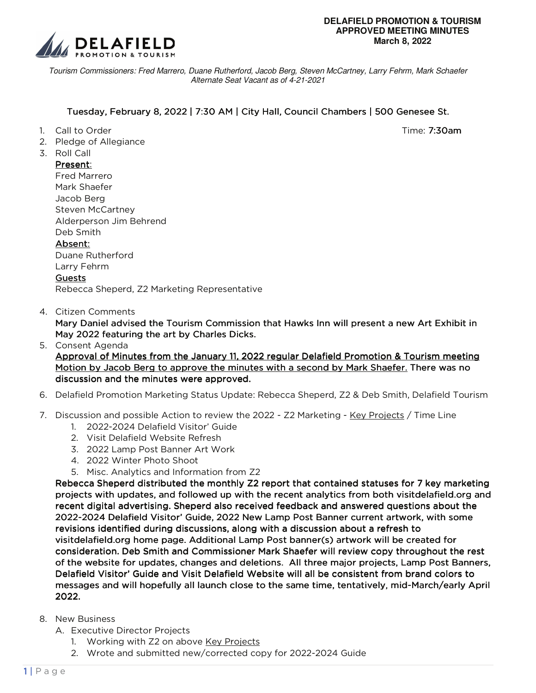

Tourism Commissioners: Fred Marrero, Duane Rutherford, Jacob Berg, Steven McCartney, Larry Fehrm, Mark Schaefer Alternate Seat Vacant as of 4-21-2021

## Tuesday, February 8, 2022 | 7:30 AM | City Hall, Council Chambers | 500 Genesee St.

- 1. Call to Order Time: 7:30am
- 2. Pledge of Allegiance
- 3. Roll Call

## Present:

Fred Marrero Mark Shaefer Jacob Berg Steven McCartney Alderperson Jim Behrend Deb Smith Absent: Absent: Duane Rutherford Larry Fehrm Guests Rebecca Sheperd, Z2 Marketing Representative

4. Citizen Comments

Mary Daniel advised the Tourism Commission that Hawks Inn will present a new Art Exhibit in May 2022 featuring the art by Charles Dicks.

- 5. Consent Agenda Approval of Minutes from the January 11, 2022 regular Delafield Promotion & Tourism meeting Motion by Jacob Berg to approve the minutes with a second by Mark Shaefer. There was no discussion and the minutes were approved.
- 6. Delafield Promotion Marketing Status Update: Rebecca Sheperd, Z2 & Deb Smith, Delafield Tourism
- 7. Discussion and possible Action to review the 2022 Z2 Marketing Key Projects / Time Line
	- 1. 2022-2024 Delafield Visitor' Guide
	- 2. Visit Delafield Website Refresh
	- 3. 2022 Lamp Post Banner Art Work
	- 4. 2022 Winter Photo Shoot
	- 5. Misc. Analytics and Information from Z2

Rebecca Sheperd distributed the monthly Z2 report that contained statuses for 7 key marketing projects with updates, and followed up with the recent analytics from both visitdelafield.org and recent digital advertising. Sheperd also received feedback and answered questions about the 2022-2024 Delafield Visitor' Guide, 2022 New Lamp Post Banner current artwork, with some revisions identified during discussions, along with a discussion about a refresh to visitdelafield.org home page. Additional Lamp Post banner(s) artwork will be created for consideration. Deb Smith and Commissioner Mark Shaefer will review copy throughout the rest of the website for updates, changes and deletions. All three major projects, Lamp Post Banners, Delafield Visitor' Guide and Visit Delafield Website will all be consistent from brand colors to messages and will hopefully all launch close to the same time, tentatively, mid-March/early April 2022.

- 8. New Business
	- A. Executive Director Projects
		- 1. Working with Z2 on above Key Projects
		- 2. Wrote and submitted new/corrected copy for 2022-2024 Guide